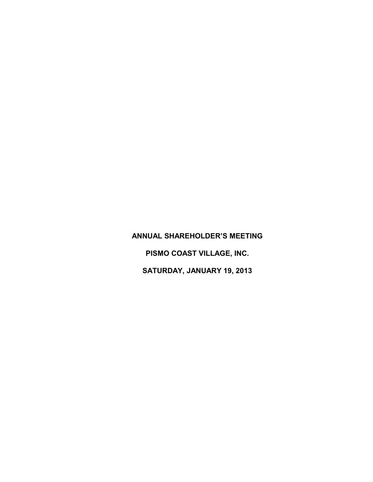## **ANNUAL SHAREHOLDER'S MEETING PISMO COAST VILLAGE, INC.**

**SATURDAY, JANUARY 19, 2013**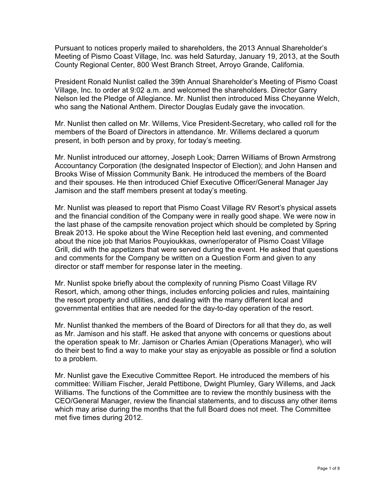Pursuant to notices properly mailed to shareholders, the 2013 Annual Shareholder's Meeting of Pismo Coast Village, Inc. was held Saturday, January 19, 2013, at the South County Regional Center, 800 West Branch Street, Arroyo Grande, California.

President Ronald Nunlist called the 39th Annual Shareholder's Meeting of Pismo Coast Village, Inc. to order at 9:02 a.m. and welcomed the shareholders. Director Garry Nelson led the Pledge of Allegiance. Mr. Nunlist then introduced Miss Cheyanne Welch, who sang the National Anthem. Director Douglas Eudaly gave the invocation.

Mr. Nunlist then called on Mr. Willems, Vice President-Secretary, who called roll for the members of the Board of Directors in attendance. Mr. Willems declared a quorum present, in both person and by proxy, for today's meeting.

Mr. Nunlist introduced our attorney, Joseph Look; Darren Williams of Brown Armstrong Accountancy Corporation (the designated Inspector of Election); and John Hansen and Brooks Wise of Mission Community Bank. He introduced the members of the Board and their spouses. He then introduced Chief Executive Officer/General Manager Jay Jamison and the staff members present at today's meeting.

Mr. Nunlist was pleased to report that Pismo Coast Village RV Resort's physical assets and the financial condition of the Company were in really good shape. We were now in the last phase of the campsite renovation project which should be completed by Spring Break 2013. He spoke about the Wine Reception held last evening, and commented about the nice job that Marios Pouyioukkas, owner/operator of Pismo Coast Village Grill, did with the appetizers that were served during the event. He asked that questions and comments for the Company be written on a Question Form and given to any director or staff member for response later in the meeting.

Mr. Nunlist spoke briefly about the complexity of running Pismo Coast Village RV Resort, which, among other things, includes enforcing policies and rules, maintaining the resort property and utilities, and dealing with the many different local and governmental entities that are needed for the day-to-day operation of the resort.

Mr. Nunlist thanked the members of the Board of Directors for all that they do, as well as Mr. Jamison and his staff. He asked that anyone with concerns or questions about the operation speak to Mr. Jamison or Charles Amian (Operations Manager), who will do their best to find a way to make your stay as enjoyable as possible or find a solution to a problem.

Mr. Nunlist gave the Executive Committee Report. He introduced the members of his committee: William Fischer, Jerald Pettibone, Dwight Plumley, Gary Willems, and Jack Williams. The functions of the Committee are to review the monthly business with the CEO/General Manager, review the financial statements, and to discuss any other items which may arise during the months that the full Board does not meet. The Committee met five times during 2012.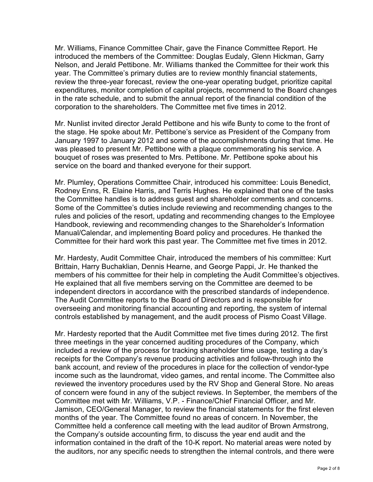Mr. Williams, Finance Committee Chair, gave the Finance Committee Report. He introduced the members of the Committee: Douglas Eudaly, Glenn Hickman, Garry Nelson, and Jerald Pettibone. Mr. Williams thanked the Committee for their work this year. The Committee's primary duties are to review monthly financial statements, review the three-year forecast, review the one-year operating budget, prioritize capital expenditures, monitor completion of capital projects, recommend to the Board changes in the rate schedule, and to submit the annual report of the financial condition of the corporation to the shareholders. The Committee met five times in 2012.

Mr. Nunlist invited director Jerald Pettibone and his wife Bunty to come to the front of the stage. He spoke about Mr. Pettibone's service as President of the Company from January 1997 to January 2012 and some of the accomplishments during that time. He was pleased to present Mr. Pettibone with a plaque commemorating his service. A bouquet of roses was presented to Mrs. Pettibone. Mr. Pettibone spoke about his service on the board and thanked everyone for their support.

Mr. Plumley, Operations Committee Chair, introduced his committee: Louis Benedict, Rodney Enns, R. Elaine Harris, and Terris Hughes. He explained that one of the tasks the Committee handles is to address guest and shareholder comments and concerns. Some of the Committee's duties include reviewing and recommending changes to the rules and policies of the resort, updating and recommending changes to the Employee Handbook, reviewing and recommending changes to the Shareholder's Information Manual/Calendar, and implementing Board policy and procedures. He thanked the Committee for their hard work this past year. The Committee met five times in 2012.

Mr. Hardesty, Audit Committee Chair, introduced the members of his committee: Kurt Brittain, Harry Buchaklian, Dennis Hearne, and George Pappi, Jr. He thanked the members of his committee for their help in completing the Audit Committee's objectives. He explained that all five members serving on the Committee are deemed to be independent directors in accordance with the prescribed standards of independence. The Audit Committee reports to the Board of Directors and is responsible for overseeing and monitoring financial accounting and reporting, the system of internal controls established by management, and the audit process of Pismo Coast Village.

Mr. Hardesty reported that the Audit Committee met five times during 2012. The first three meetings in the year concerned auditing procedures of the Company, which included a review of the process for tracking shareholder time usage, testing a day's receipts for the Company's revenue producing activities and follow-through into the bank account, and review of the procedures in place for the collection of vendor-type income such as the laundromat, video games, and rental income. The Committee also reviewed the inventory procedures used by the RV Shop and General Store. No areas of concern were found in any of the subject reviews. In September, the members of the Committee met with Mr. Williams, V.P. - Finance/Chief Financial Officer, and Mr. Jamison, CEO/General Manager, to review the financial statements for the first eleven months of the year. The Committee found no areas of concern. In November, the Committee held a conference call meeting with the lead auditor of Brown Armstrong, the Company's outside accounting firm, to discuss the year end audit and the information contained in the draft of the 10-K report. No material areas were noted by the auditors, nor any specific needs to strengthen the internal controls, and there were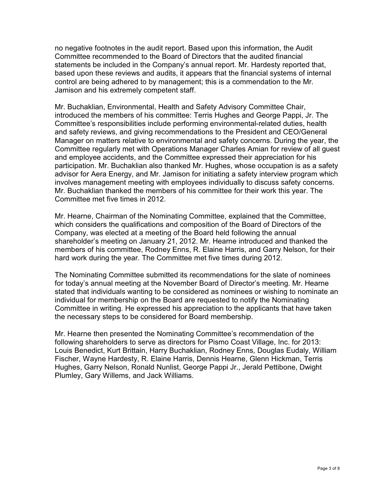no negative footnotes in the audit report. Based upon this information, the Audit Committee recommended to the Board of Directors that the audited financial statements be included in the Company's annual report. Mr. Hardesty reported that, based upon these reviews and audits, it appears that the financial systems of internal control are being adhered to by management; this is a commendation to the Mr. Jamison and his extremely competent staff.

Mr. Buchaklian, Environmental, Health and Safety Advisory Committee Chair, introduced the members of his committee: Terris Hughes and George Pappi, Jr. The Committee's responsibilities include performing environmental-related duties, health and safety reviews, and giving recommendations to the President and CEO/General Manager on matters relative to environmental and safety concerns. During the year, the Committee regularly met with Operations Manager Charles Amian for review of all guest and employee accidents, and the Committee expressed their appreciation for his participation. Mr. Buchaklian also thanked Mr. Hughes, whose occupation is as a safety advisor for Aera Energy, and Mr. Jamison for initiating a safety interview program which involves management meeting with employees individually to discuss safety concerns. Mr. Buchaklian thanked the members of his committee for their work this year. The Committee met five times in 2012.

Mr. Hearne, Chairman of the Nominating Committee, explained that the Committee, which considers the qualifications and composition of the Board of Directors of the Company, was elected at a meeting of the Board held following the annual shareholder's meeting on January 21, 2012. Mr. Hearne introduced and thanked the members of his committee, Rodney Enns, R. Elaine Harris, and Garry Nelson, for their hard work during the year. The Committee met five times during 2012.

The Nominating Committee submitted its recommendations for the slate of nominees for today's annual meeting at the November Board of Director's meeting. Mr. Hearne stated that individuals wanting to be considered as nominees or wishing to nominate an individual for membership on the Board are requested to notify the Nominating Committee in writing. He expressed his appreciation to the applicants that have taken the necessary steps to be considered for Board membership.

Mr. Hearne then presented the Nominating Committee's recommendation of the following shareholders to serve as directors for Pismo Coast Village, Inc. for 2013: Louis Benedict, Kurt Brittain, Harry Buchaklian, Rodney Enns, Douglas Eudaly, William Fischer, Wayne Hardesty, R. Elaine Harris, Dennis Hearne, Glenn Hickman, Terris Hughes, Garry Nelson, Ronald Nunlist, George Pappi Jr., Jerald Pettibone, Dwight Plumley, Gary Willems, and Jack Williams.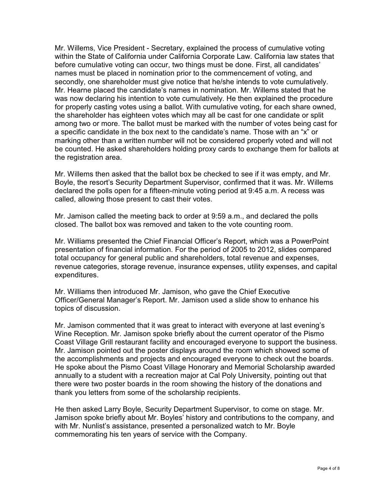Mr. Willems, Vice President - Secretary, explained the process of cumulative voting within the State of California under California Corporate Law. California law states that before cumulative voting can occur, two things must be done. First, all candidates' names must be placed in nomination prior to the commencement of voting, and secondly, one shareholder must give notice that he/she intends to vote cumulatively. Mr. Hearne placed the candidate's names in nomination. Mr. Willems stated that he was now declaring his intention to vote cumulatively. He then explained the procedure for properly casting votes using a ballot. With cumulative voting, for each share owned, the shareholder has eighteen votes which may all be cast for one candidate or split among two or more. The ballot must be marked with the number of votes being cast for a specific candidate in the box next to the candidate's name. Those with an "x" or marking other than a written number will not be considered properly voted and will not be counted. He asked shareholders holding proxy cards to exchange them for ballots at the registration area.

Mr. Willems then asked that the ballot box be checked to see if it was empty, and Mr. Boyle, the resort's Security Department Supervisor, confirmed that it was. Mr. Willems declared the polls open for a fifteen-minute voting period at 9:45 a.m. A recess was called, allowing those present to cast their votes.

Mr. Jamison called the meeting back to order at 9:59 a.m., and declared the polls closed. The ballot box was removed and taken to the vote counting room.

Mr. Williams presented the Chief Financial Officer's Report, which was a PowerPoint presentation of financial information. For the period of 2005 to 2012, slides compared total occupancy for general public and shareholders, total revenue and expenses, revenue categories, storage revenue, insurance expenses, utility expenses, and capital expenditures.

Mr. Williams then introduced Mr. Jamison, who gave the Chief Executive Officer/General Manager's Report. Mr. Jamison used a slide show to enhance his topics of discussion.

Mr. Jamison commented that it was great to interact with everyone at last evening's Wine Reception. Mr. Jamison spoke briefly about the current operator of the Pismo Coast Village Grill restaurant facility and encouraged everyone to support the business. Mr. Jamison pointed out the poster displays around the room which showed some of the accomplishments and projects and encouraged everyone to check out the boards. He spoke about the Pismo Coast Village Honorary and Memorial Scholarship awarded annually to a student with a recreation major at Cal Poly University, pointing out that there were two poster boards in the room showing the history of the donations and thank you letters from some of the scholarship recipients.

He then asked Larry Boyle, Security Department Supervisor, to come on stage. Mr. Jamison spoke briefly about Mr. Boyles' history and contributions to the company, and with Mr. Nunlist's assistance, presented a personalized watch to Mr. Boyle commemorating his ten years of service with the Company.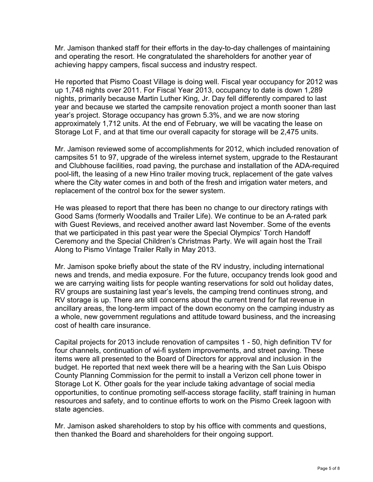Mr. Jamison thanked staff for their efforts in the day-to-day challenges of maintaining and operating the resort. He congratulated the shareholders for another year of achieving happy campers, fiscal success and industry respect.

He reported that Pismo Coast Village is doing well. Fiscal year occupancy for 2012 was up 1,748 nights over 2011. For Fiscal Year 2013, occupancy to date is down 1,289 nights, primarily because Martin Luther King, Jr. Day fell differently compared to last year and because we started the campsite renovation project a month sooner than last year's project. Storage occupancy has grown 5.3%, and we are now storing approximately 1,712 units. At the end of February, we will be vacating the lease on Storage Lot F, and at that time our overall capacity for storage will be 2,475 units.

Mr. Jamison reviewed some of accomplishments for 2012, which included renovation of campsites 51 to 97, upgrade of the wireless internet system, upgrade to the Restaurant and Clubhouse facilities, road paving, the purchase and installation of the ADA-required pool-lift, the leasing of a new Hino trailer moving truck, replacement of the gate valves where the City water comes in and both of the fresh and irrigation water meters, and replacement of the control box for the sewer system.

He was pleased to report that there has been no change to our directory ratings with Good Sams (formerly Woodalls and Trailer Life). We continue to be an A-rated park with Guest Reviews, and received another award last November. Some of the events that we participated in this past year were the Special Olympics' Torch Handoff Ceremony and the Special Children's Christmas Party. We will again host the Trail Along to Pismo Vintage Trailer Rally in May 2013.

Mr. Jamison spoke briefly about the state of the RV industry, including international news and trends, and media exposure. For the future, occupancy trends look good and we are carrying waiting lists for people wanting reservations for sold out holiday dates, RV groups are sustaining last year's levels, the camping trend continues strong, and RV storage is up. There are still concerns about the current trend for flat revenue in ancillary areas, the long-term impact of the down economy on the camping industry as a whole, new government regulations and attitude toward business, and the increasing cost of health care insurance.

Capital projects for 2013 include renovation of campsites 1 - 50, high definition TV for four channels, continuation of wi-fi system improvements, and street paving. These items were all presented to the Board of Directors for approval and inclusion in the budget. He reported that next week there will be a hearing with the San Luis Obispo County Planning Commission for the permit to install a Verizon cell phone tower in Storage Lot K. Other goals for the year include taking advantage of social media opportunities, to continue promoting self-access storage facility, staff training in human resources and safety, and to continue efforts to work on the Pismo Creek lagoon with state agencies.

Mr. Jamison asked shareholders to stop by his office with comments and questions, then thanked the Board and shareholders for their ongoing support.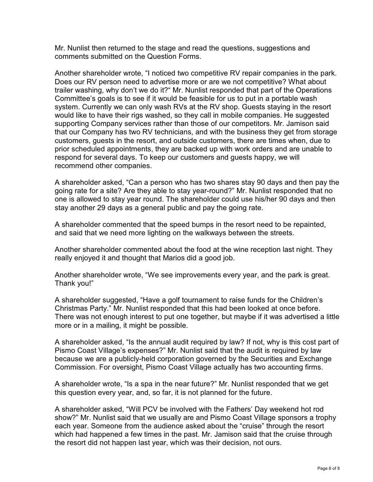Mr. Nunlist then returned to the stage and read the questions, suggestions and comments submitted on the Question Forms.

Another shareholder wrote, "I noticed two competitive RV repair companies in the park. Does our RV person need to advertise more or are we not competitive? What about trailer washing, why don't we do it?" Mr. Nunlist responded that part of the Operations Committee's goals is to see if it would be feasible for us to put in a portable wash system. Currently we can only wash RVs at the RV shop. Guests staying in the resort would like to have their rigs washed, so they call in mobile companies. He suggested supporting Company services rather than those of our competitors. Mr. Jamison said that our Company has two RV technicians, and with the business they get from storage customers, guests in the resort, and outside customers, there are times when, due to prior scheduled appointments, they are backed up with work orders and are unable to respond for several days. To keep our customers and guests happy, we will recommend other companies.

A shareholder asked, "Can a person who has two shares stay 90 days and then pay the going rate for a site? Are they able to stay year-round?" Mr. Nunlist responded that no one is allowed to stay year round. The shareholder could use his/her 90 days and then stay another 29 days as a general public and pay the going rate.

A shareholder commented that the speed bumps in the resort need to be repainted, and said that we need more lighting on the walkways between the streets.

Another shareholder commented about the food at the wine reception last night. They really enjoyed it and thought that Marios did a good job.

Another shareholder wrote, "We see improvements every year, and the park is great. Thank you!"

A shareholder suggested, "Have a golf tournament to raise funds for the Children's Christmas Party." Mr. Nunlist responded that this had been looked at once before. There was not enough interest to put one together, but maybe if it was advertised a little more or in a mailing, it might be possible.

A shareholder asked, "Is the annual audit required by law? If not, why is this cost part of Pismo Coast Village's expenses?" Mr. Nunlist said that the audit is required by law because we are a publicly-held corporation governed by the Securities and Exchange Commission. For oversight, Pismo Coast Village actually has two accounting firms.

A shareholder wrote, "Is a spa in the near future?" Mr. Nunlist responded that we get this question every year, and, so far, it is not planned for the future.

A shareholder asked, "Will PCV be involved with the Fathers' Day weekend hot rod show?" Mr. Nunlist said that we usually are and Pismo Coast Village sponsors a trophy each year. Someone from the audience asked about the "cruise" through the resort which had happened a few times in the past. Mr. Jamison said that the cruise through the resort did not happen last year, which was their decision, not ours.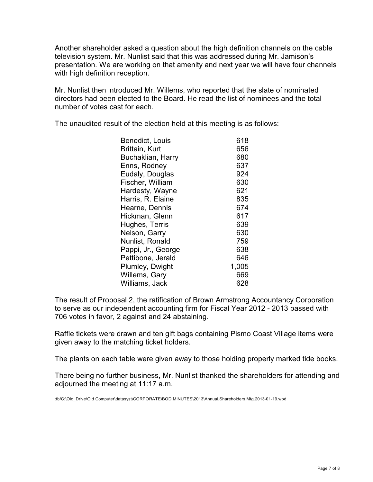Another shareholder asked a question about the high definition channels on the cable television system. Mr. Nunlist said that this was addressed during Mr. Jamison's presentation. We are working on that amenity and next year we will have four channels with high definition reception.

Mr. Nunlist then introduced Mr. Willems, who reported that the slate of nominated directors had been elected to the Board. He read the list of nominees and the total number of votes cast for each.

The unaudited result of the election held at this meeting is as follows:

| Benedict, Louis    | 618   |
|--------------------|-------|
| Brittain, Kurt     | 656   |
| Buchaklian, Harry  | 680   |
| Enns, Rodney       | 637   |
| Eudaly, Douglas    | 924   |
| Fischer, William   | 630   |
| Hardesty, Wayne    | 621   |
| Harris, R. Elaine  | 835   |
| Hearne, Dennis     | 674   |
| Hickman, Glenn     | 617   |
| Hughes, Terris     | 639   |
| Nelson, Garry      | 630   |
| Nunlist, Ronald    | 759   |
| Pappi, Jr., George | 638   |
| Pettibone, Jerald  | 646   |
| Plumley, Dwight    | 1,005 |
| Willems, Gary      | 669   |
| Williams, Jack     | 628   |

The result of Proposal 2, the ratification of Brown Armstrong Accountancy Corporation to serve as our independent accounting firm for Fiscal Year 2012 - 2013 passed with 706 votes in favor, 2 against and 24 abstaining.

Raffle tickets were drawn and ten gift bags containing Pismo Coast Village items were given away to the matching ticket holders.

The plants on each table were given away to those holding properly marked tide books.

There being no further business, Mr. Nunlist thanked the shareholders for attending and adjourned the meeting at 11:17 a.m.

:tb/C:\Old\_Drive\Old Computer\datasyst\CORPORATE\BOD.MINUTES\2013\Annual.Shareholders.Mtg.2013-01-19.wpd